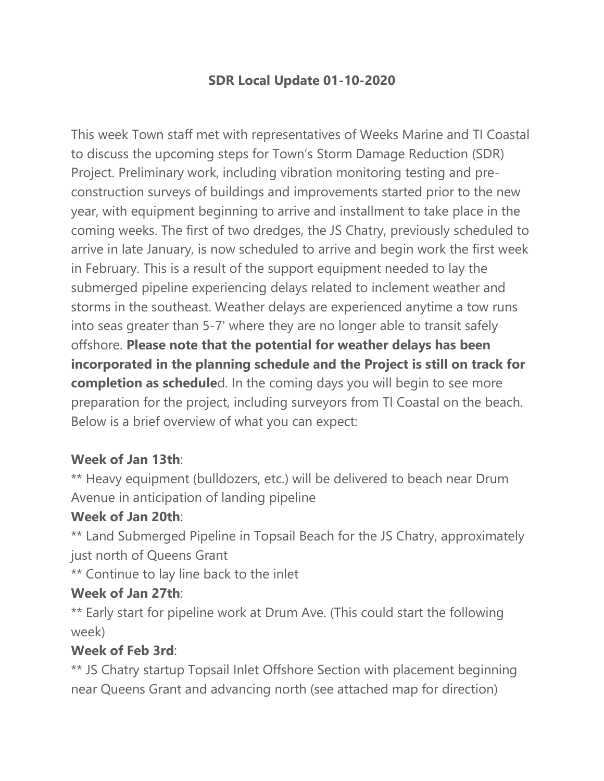# **SDR Local Update 01-10-2020**

This week Town staff met with representatives of Weeks Marine and TI Coastal to discuss the upcoming steps for Town's Storm Damage Reduction (SDR) Project. Preliminary work, including vibration monitoring testing and preconstruction surveys of buildings and improvements started prior to the new year, with equipment beginning to arrive and installment to take place in the coming weeks. The first of two dredges, the JS Chatry, previously scheduled to arrive in late January, is now scheduled to arrive and begin work the first week in February. This is a result of the support equipment needed to lay the submerged pipeline experiencing delays related to inclement weather and storms in the southeast. Weather delays are experienced anytime a tow runs into seas greater than 5-7' where they are no longer able to transit safely offshore. **Please note that the potential for weather delays has been incorporated in the planning schedule and the Project is still on track for completion as schedule**d. In the coming days you will begin to see more preparation for the project, including surveyors from TI Coastal on the beach. Below is a brief overview of what you can expect:

# **Week of Jan 13th**:

\*\* Heavy equipment (bulldozers, etc.) will be delivered to beach near Drum Avenue in anticipation of landing pipeline

#### **Week of Jan 20th**:

\*\* Land Submerged Pipeline in Topsail Beach for the JS Chatry, approximately just north of Queens Grant

\*\* Continue to lay line back to the inlet

#### **Week of Jan 27th**:

\*\* Early start for pipeline work at Drum Ave. (This could start the following week)

#### **Week of Feb 3rd**:

\*\* JS Chatry startup Topsail Inlet Offshore Section with placement beginning near Queens Grant and advancing north (see attached map for direction)